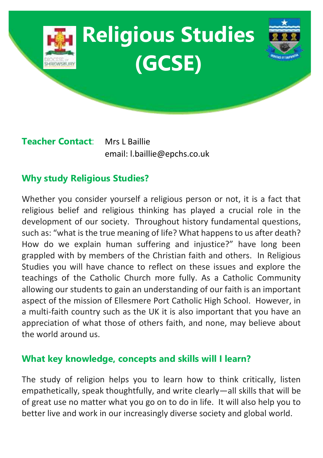

**Teacher Contact**: Mrs L Baillie email: l.baillie@epchs.co.uk

# **Why study Religious Studies?**

Whether you consider yourself a religious person or not, it is a fact that religious belief and religious thinking has played a crucial role in the development of our society. Throughout history fundamental questions, such as: "what is the true meaning of life? What happens to us after death? How do we explain human suffering and injustice?" have long been grappled with by members of the Christian faith and others. In Religious Studies you will have chance to reflect on these issues and explore the teachings of the Catholic Church more fully. As a Catholic Community allowing our students to gain an understanding of our faith is an important aspect of the mission of Ellesmere Port Catholic High School. However, in a multi-faith country such as the UK it is also important that you have an appreciation of what those of others faith, and none, may believe about the world around us.

# **What key knowledge, concepts and skills will I learn?**

The study of religion helps you to learn how to think critically, listen empathetically, speak thoughtfully, and write clearly—all skills that will be of great use no matter what you go on to do in life. It will also help you to better live and work in our increasingly diverse society and global world.